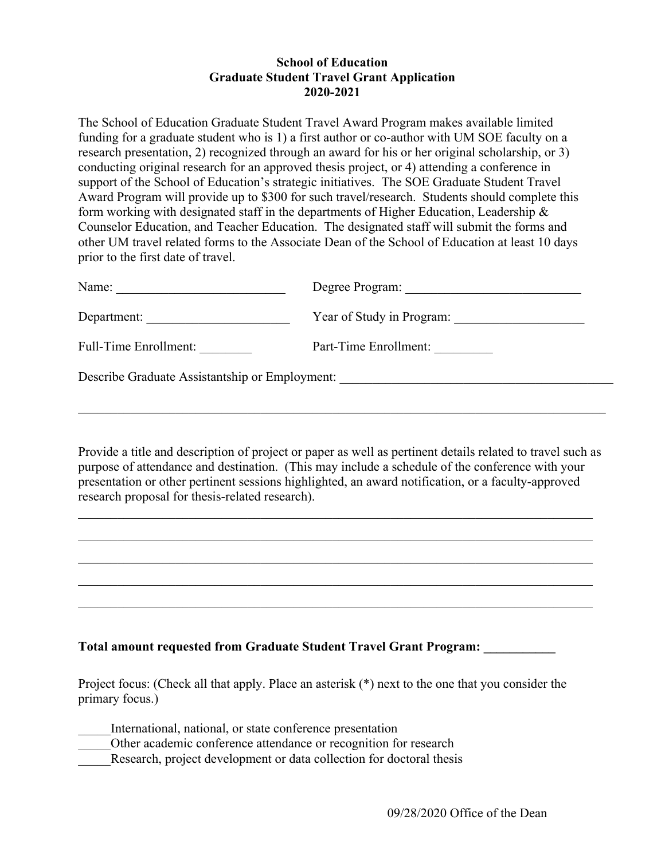## **School of Education Graduate Student Travel Grant Application 2020-2021**

The School of Education Graduate Student Travel Award Program makes available limited funding for a graduate student who is 1) a first author or co-author with UM SOE faculty on a research presentation, 2) recognized through an award for his or her original scholarship, or 3) conducting original research for an approved thesis project, or 4) attending a conference in support of the School of Education's strategic initiatives. The SOE Graduate Student Travel Award Program will provide up to \$300 for such travel/research. Students should complete this form working with designated staff in the departments of Higher Education, Leadership & Counselor Education, and Teacher Education. The designated staff will submit the forms and other UM travel related forms to the Associate Dean of the School of Education at least 10 days prior to the first date of travel.

| Name:                                          | Degree Program:           |  |  |  |
|------------------------------------------------|---------------------------|--|--|--|
| Department:                                    | Year of Study in Program: |  |  |  |
| <b>Full-Time Enrollment:</b>                   | Part-Time Enrollment:     |  |  |  |
| Describe Graduate Assistantship or Employment: |                           |  |  |  |
|                                                |                           |  |  |  |

Provide a title and description of project or paper as well as pertinent details related to travel such as purpose of attendance and destination. (This may include a schedule of the conference with your presentation or other pertinent sessions highlighted, an award notification, or a faculty-approved research proposal for thesis-related research).

 $\mathcal{L}_\mathcal{L} = \mathcal{L}_\mathcal{L} = \mathcal{L}_\mathcal{L} = \mathcal{L}_\mathcal{L} = \mathcal{L}_\mathcal{L} = \mathcal{L}_\mathcal{L} = \mathcal{L}_\mathcal{L} = \mathcal{L}_\mathcal{L} = \mathcal{L}_\mathcal{L} = \mathcal{L}_\mathcal{L} = \mathcal{L}_\mathcal{L} = \mathcal{L}_\mathcal{L} = \mathcal{L}_\mathcal{L} = \mathcal{L}_\mathcal{L} = \mathcal{L}_\mathcal{L} = \mathcal{L}_\mathcal{L} = \mathcal{L}_\mathcal{L}$ 

### **Total amount requested from Graduate Student Travel Grant Program: \_\_\_\_\_\_\_\_\_\_\_**

Project focus: (Check all that apply. Place an asterisk (\*) next to the one that you consider the primary focus.)

International, national, or state conference presentation

Other academic conference attendance or recognition for research

Research, project development or data collection for doctoral thesis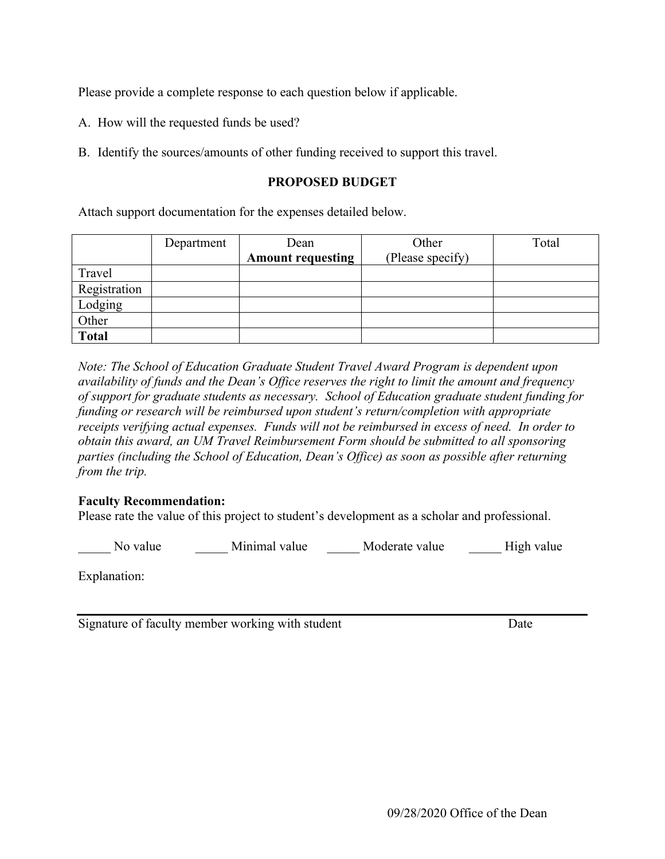Please provide a complete response to each question below if applicable.

- A. How will the requested funds be used?
- B. Identify the sources/amounts of other funding received to support this travel.

## **PROPOSED BUDGET**

Attach support documentation for the expenses detailed below.

|              | Department | Dean                     | Other            | Total |
|--------------|------------|--------------------------|------------------|-------|
|              |            | <b>Amount requesting</b> | (Please specify) |       |
| Travel       |            |                          |                  |       |
| Registration |            |                          |                  |       |
| Lodging      |            |                          |                  |       |
| Other        |            |                          |                  |       |
| <b>Total</b> |            |                          |                  |       |

*Note: The School of Education Graduate Student Travel Award Program is dependent upon availability of funds and the Dean's Office reserves the right to limit the amount and frequency of support for graduate students as necessary. School of Education graduate student funding for funding or research will be reimbursed upon student's return/completion with appropriate receipts verifying actual expenses. Funds will not be reimbursed in excess of need. In order to obtain this award, an UM Travel Reimbursement Form should be submitted to all sponsoring parties (including the School of Education, Dean's Office) as soon as possible after returning from the trip.*

### **Faculty Recommendation:**

Please rate the value of this project to student's development as a scholar and professional.

No value **Minimal value** Moderate value High value

Explanation:

Signature of faculty member working with student Date